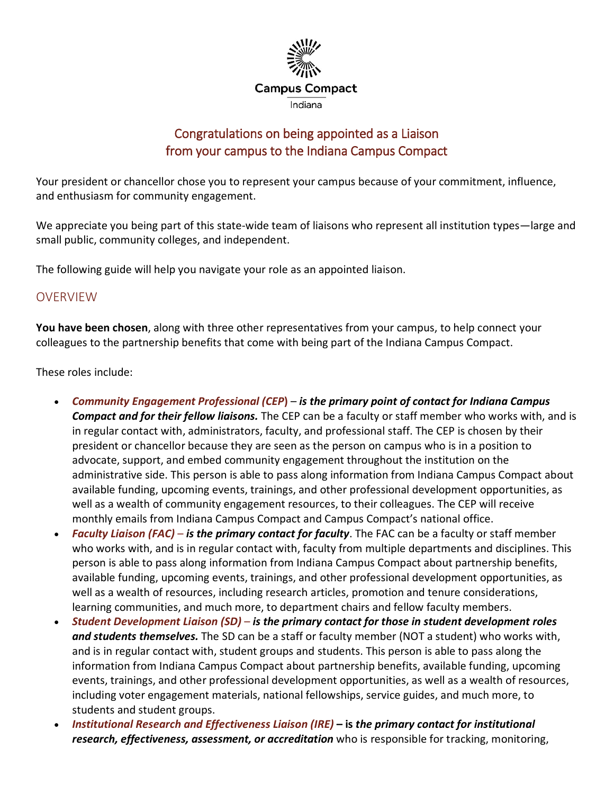

# Congratulations on being appointed as a Liaison from your campus to the Indiana Campus Compact

Your president or chancellor chose you to represent your campus because of your commitment, influence, and enthusiasm for community engagement.

We appreciate you being part of this state-wide team of liaisons who represent all institution types—large and small public, community colleges, and independent.

The following guide will help you navigate your role as an appointed liaison.

## OVERVIEW

**You have been chosen**, along with three other representatives from your campus, to help connect your colleagues to the partnership benefits that come with being part of the Indiana Campus Compact.

These roles include:

- *Community Engagement Professional (CEP***)** *is the primary point of contact for Indiana Campus Compact and for their fellow liaisons.* The CEP can be a faculty or staff member who works with, and is in regular contact with, administrators, faculty, and professional staff. The CEP is chosen by their president or chancellor because they are seen as the person on campus who is in a position to advocate, support, and embed community engagement throughout the institution on the administrative side. This person is able to pass along information from Indiana Campus Compact about available funding, upcoming events, trainings, and other professional development opportunities, as well as a wealth of community engagement resources, to their colleagues. The CEP will receive monthly emails from Indiana Campus Compact and Campus Compact's national office.
- *Faculty Liaison (FAC) is the primary contact for faculty*. The FAC can be a faculty or staff member who works with, and is in regular contact with, faculty from multiple departments and disciplines. This person is able to pass along information from Indiana Campus Compact about partnership benefits, available funding, upcoming events, trainings, and other professional development opportunities, as well as a wealth of resources, including research articles, promotion and tenure considerations, learning communities, and much more, to department chairs and fellow faculty members.
- *Student Development Liaison (SD) is the primary contact for those in student development roles and students themselves.* The SD can be a staff or faculty member (NOT a student) who works with, and is in regular contact with, student groups and students. This person is able to pass along the information from Indiana Campus Compact about partnership benefits, available funding, upcoming events, trainings, and other professional development opportunities, as well as a wealth of resources, including voter engagement materials, national fellowships, service guides, and much more, to students and student groups.
- *Institutional Research and Effectiveness Liaison (IRE)* **– is** *the primary contact for institutional research, effectiveness, assessment, or accreditation* who is responsible for tracking, monitoring,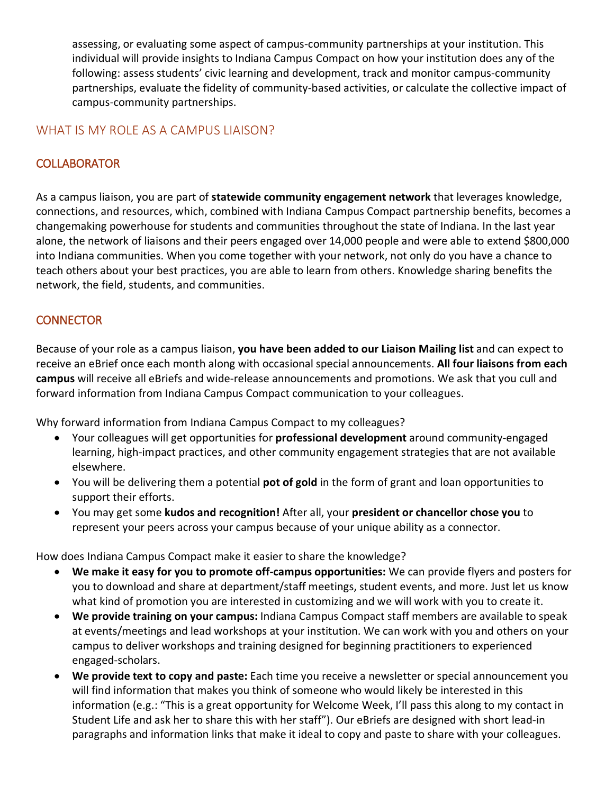assessing, or evaluating some aspect of campus-community partnerships at your institution. This individual will provide insights to Indiana Campus Compact on how your institution does any of the following: assess students' civic learning and development, track and monitor campus-community partnerships, evaluate the fidelity of community-based activities, or calculate the collective impact of campus-community partnerships.

#### WHAT IS MY ROLE AS A CAMPUS LIAISON?

# **COLLABORATOR**

As a campus liaison, you are part of **statewide community engagement network** that leverages knowledge, connections, and resources, which, combined with Indiana Campus Compact partnership benefits, becomes a changemaking powerhouse for students and communities throughout the state of Indiana. In the last year alone, the network of liaisons and their peers engaged over 14,000 people and were able to extend \$800,000 into Indiana communities. When you come together with your network, not only do you have a chance to teach others about your best practices, you are able to learn from others. Knowledge sharing benefits the network, the field, students, and communities.

## **CONNECTOR**

Because of your role as a campus liaison, **you have been added to our Liaison Mailing list** and can expect to receive an eBrief once each month along with occasional special announcements. **All four liaisons from each campus** will receive all eBriefs and wide-release announcements and promotions. We ask that you cull and forward information from Indiana Campus Compact communication to your colleagues.

Why forward information from Indiana Campus Compact to my colleagues?

- Your colleagues will get opportunities for **professional development** around community-engaged learning, high-impact practices, and other community engagement strategies that are not available elsewhere.
- You will be delivering them a potential **pot of gold** in the form of grant and loan opportunities to support their efforts.
- You may get some **kudos and recognition!** After all, your **president or chancellor chose you** to represent your peers across your campus because of your unique ability as a connector.

How does Indiana Campus Compact make it easier to share the knowledge?

- **We make it easy for you to promote off-campus opportunities:** We can provide flyers and posters for you to download and share at department/staff meetings, student events, and more. Just let us know what kind of promotion you are interested in customizing and we will work with you to create it.
- **We provide training on your campus:** Indiana Campus Compact staff members are available to speak at events/meetings and lead workshops at your institution. We can work with you and others on your campus to deliver workshops and training designed for beginning practitioners to experienced engaged-scholars.
- **We provide text to copy and paste:** Each time you receive a newsletter or special announcement you will find information that makes you think of someone who would likely be interested in this information (e.g.: "This is a great opportunity for Welcome Week, I'll pass this along to my contact in Student Life and ask her to share this with her staff"). Our eBriefs are designed with short lead-in paragraphs and information links that make it ideal to copy and paste to share with your colleagues.